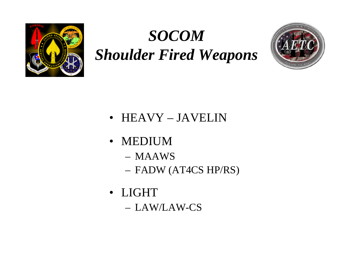

# *SOCOMShoulder Fired Weapons*



- HEAVY JAVELIN
- MEDIUM
	- MAAWS
	- FADW (AT4CS HP/RS)
- LIGHT– LAW/LAW-CS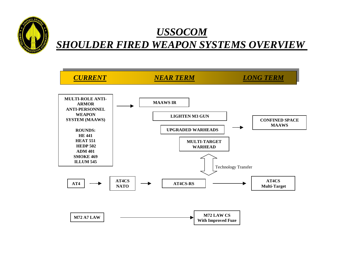

### *USSOCOM SHOULDER FIRED WEAPON SYSTEMS OVERVIEW*

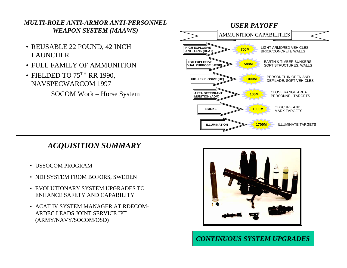

#### *CONTINUOUS SYSTEM UPGRADES*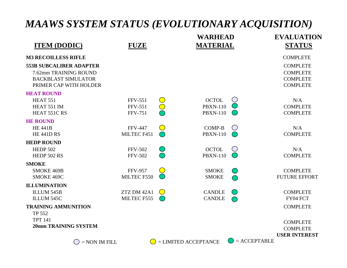## *MAAWS SYSTEM STATUS (EVOLUTIONARY ACQUISITION)*

|                                                     |                               | <b>WARHEAD</b>                                               |                | <b>EVALUATION</b>                  |
|-----------------------------------------------------|-------------------------------|--------------------------------------------------------------|----------------|------------------------------------|
| <b>ITEM (DODIC)</b>                                 | <b>FUZE</b>                   | <b>MATERIAL</b>                                              |                | <b>STATUS</b>                      |
| <b>M3 RECOILLESS RIFLE</b>                          |                               |                                                              |                | <b>COMPLETE</b>                    |
| <b>553B SUBCALIBER ADAPTER</b>                      |                               |                                                              |                | <b>COMPLETE</b>                    |
| 7.62mm TRAINING ROUND<br><b>BACKBLAST SIMULATOR</b> |                               |                                                              |                | <b>COMPLETE</b><br><b>COMPLETE</b> |
| PRIMER CAP WITH HOLDER                              |                               |                                                              |                | <b>COMPLETE</b>                    |
| <b>HEAT ROUND</b>                                   |                               |                                                              |                |                                    |
| HEAT 551                                            | <b>FFV-551</b>                | <b>OCTOL</b><br>$\bigcirc$                                   |                | N/A                                |
| HEAT 551 IM<br>HEAT 551C RS                         | <b>FFV-551</b>                | $\bigcirc$<br><b>PBXN-110</b>                                |                | <b>COMPLETE</b><br><b>COMPLETE</b> |
|                                                     | <b>FFV-751</b>                | <b>PBXN-110</b>                                              |                |                                    |
| <b>HE ROUND</b>                                     |                               |                                                              | ⊘              |                                    |
| <b>HE 441B</b><br><b>HE 441D RS</b>                 | <b>FFV-447</b><br>MILTEC F451 | <b>COMP-B</b><br>$\bigcirc$<br><b>PBXN-110</b><br>$\bigcirc$ |                | N/A<br><b>COMPLETE</b>             |
| <b>HEDP ROUND</b>                                   |                               |                                                              |                |                                    |
| <b>HEDP 502</b>                                     | <b>FFV-502</b>                | <b>OCTOL</b>                                                 | Ø              | N/A                                |
| <b>HEDP 502 RS</b>                                  | <b>FFV-502</b>                | <b>PBXN-110</b>                                              |                | <b>COMPLETE</b>                    |
| <b>SMOKE</b>                                        |                               |                                                              |                |                                    |
| SMOKE 469B                                          | <b>FFV-957</b>                | $\overline{\mathcal{C}}$<br><b>SMOKE</b>                     | $(\quad)$      | <b>COMPLETE</b>                    |
| SMOKE 469C                                          | MILTEC F550                   | <b>SMOKE</b>                                                 |                | <b>FUTURE EFFORT</b>               |
| <b>ILLUMINATION</b>                                 |                               |                                                              |                |                                    |
| ILLUM 545B                                          | ZTZ DM 42A1                   | <b>CANDLE</b><br>$\bigcirc$                                  | $(\quad)$      | <b>COMPLETE</b>                    |
| ILLUM 545C                                          | MILTEC F555                   | <b>CANDLE</b>                                                |                | FY04 FCT                           |
| <b>TRAINING AMMUNITION</b>                          |                               |                                                              |                | <b>COMPLETE</b>                    |
| TP 552                                              |                               |                                                              |                |                                    |
| <b>TPT 141</b><br><b>20mm TRAINING SYSTEM</b>       |                               |                                                              |                | <b>COMPLETE</b>                    |
|                                                     |                               |                                                              |                | <b>COMPLETE</b>                    |
|                                                     |                               | $=$ LIMITED ACCEPTANCE                                       | $=$ ACCEPTABLE | <b>USER INTEREST</b>               |
|                                                     | $=$ NON IM FILL<br>Ø9         |                                                              |                |                                    |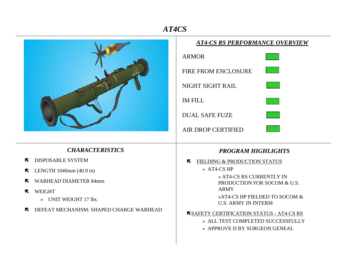### *AT4CS*

⊤

|                                                              | <b>AT4-CS RS PERFORMANCE OVERVIEW</b><br><b>ARMOR</b><br><b>FIRE FROM ENCLOSURE</b><br>NIGHT SIGHT RAIL<br><b>IM FILL</b><br><b>DUAL SAFE FUZE</b><br><b>AIR DROP CERTIFIED</b> |  |  |
|--------------------------------------------------------------|---------------------------------------------------------------------------------------------------------------------------------------------------------------------------------|--|--|
| <b>CHARACTERISTICS</b>                                       | <b>PROGRAM HIGHLIGHTS</b>                                                                                                                                                       |  |  |
| <b>DISPOSABLE SYSTEM</b><br>$\blacktriangledown$             | FIELDING & PRODUCTION STATUS<br>R                                                                                                                                               |  |  |
| LENGTH $1040$ mm $(40.9 \text{ in})$<br>$\blacktriangledown$ | » AT4-CS HP                                                                                                                                                                     |  |  |
| <b>WARHEAD DIAMETER 84mm</b><br>$\blacktriangledown$         | » AT4-CS RS CURRENTLY IN<br>PRODUCTION FOR SOCOM & U.S.                                                                                                                         |  |  |
| <b>WEIGHT</b><br>R                                           | <b>ARMY</b>                                                                                                                                                                     |  |  |
| » UNIT WEIGHT 17 lbs.                                        | »AT4-CS HP FIELDED TO SOCOM &<br><b>U.S. ARMY IN INTERM</b>                                                                                                                     |  |  |
| DEFEAT MECHANISM: SHAPED CHARGE WARHEAD<br>К.                | <b>KSAFETY CERTIFICATION STATUS - AT4-CS RS</b>                                                                                                                                 |  |  |
|                                                              | » ALL TEST COMPLETED SUCCESSFULLY                                                                                                                                               |  |  |
|                                                              | » APPROVE D BY SURGEON GENEAL                                                                                                                                                   |  |  |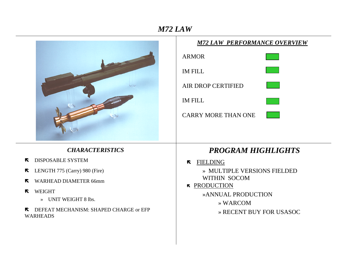#### *M72 LAW*

|                                                                                                                                                                                                                                                       | <b>M72 LAW PERFORMANCE OVERVIEW</b>                                                                                                                              |  |  |
|-------------------------------------------------------------------------------------------------------------------------------------------------------------------------------------------------------------------------------------------------------|------------------------------------------------------------------------------------------------------------------------------------------------------------------|--|--|
|                                                                                                                                                                                                                                                       | <b>ARMOR</b>                                                                                                                                                     |  |  |
|                                                                                                                                                                                                                                                       | <b>IM FILL</b><br>AIR DROP CERTIFIED<br><b>IM FILL</b><br><b>CARRY MORE THAN ONE</b>                                                                             |  |  |
| <b>CHARACTERISTICS</b>                                                                                                                                                                                                                                | <b>PROGRAM HIGHLIGHTS</b>                                                                                                                                        |  |  |
| <b>DISPOSABLE SYSTEM</b><br>$\blacktriangledown$<br>LENGTH 775 (Carry) 980 (Fire)<br>K<br><b>WARHEAD DIAMETER 66mm</b><br>R<br><b>WEIGHT</b><br>R<br>UNIT WEIGHT 8 lbs.<br>$\rightarrow$<br>DEFEAT MECHANISM: SHAPED CHARGE or EFP<br><b>WARHEADS</b> | <b>FIELDING</b><br>$\blacktriangledown$<br>» MULTIPLE VERSIONS FIELDED<br>WITHIN SOCOM<br>RODUCTION<br>»ANNUAL PRODUCTION<br>» WARCOM<br>» RECENT BUY FOR USASOC |  |  |
|                                                                                                                                                                                                                                                       |                                                                                                                                                                  |  |  |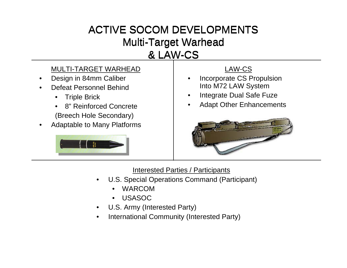## ACTIVE SOCOM DEVELOPMENTS Multi-Target Warhead Multi-Target Warhead & LAW-CS

#### MULTI-TARGET WARHEAD

- •Design in 84mm Caliber
- • Defeat Personnel Behind
	- •Triple Brick
	- • 8" Reinforced Concrete(Breech Hole Secondary)
- •Adaptable to Many Platforms



#### LAW-CS

- • Incorporate CS Propulsion Into M72 LAW System
- •Integrate Dual Safe Fuze
- •Adapt Other Enhancements



Interested Parties / Participants

- • U.S. Special Operations Command (Participant)
	- •WARCOM
	- •USASOC
- •U.S. Army (Interested Party)
- •International Community (Interested Party)